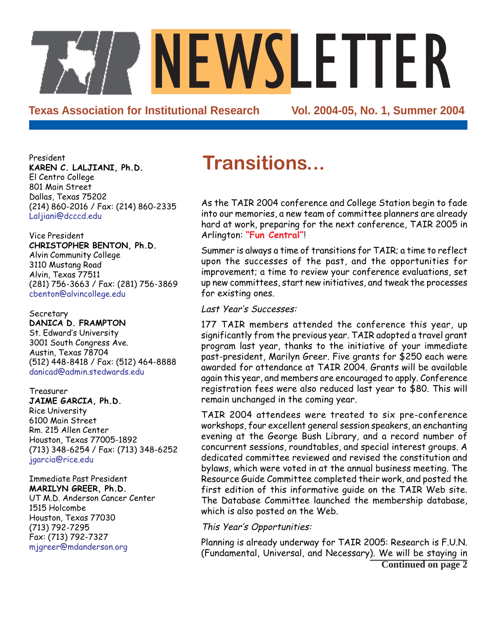**Texas Association for Institutional Research** 

NEWSLETTER<br>
Stitutional Research<br>
Vol. 2004-05, No. 1, Summer 2004

President **KAREN C. LALJIANI, Ph.D.** El Centro College 801 Main Street Dallas, Texas 75202 (214) 860-2016 / Fax: (214) 860-2335 Laljiani@dcccd.edu

Vice President **CHRISTOPHER BENTON, Ph.D.** Alvin Community College 3110 Mustang Road Alvin, Texas 77511 (281) 756-3663 / Fax: (281) 756-3869 cbenton@alvincollege.edu

**Secretary DANICA D. FRAMPTON** St. Edward's University 3001 South Congress Ave. Austin, Texas 78704 (512) 448-8418 / Fax: (512) 464-8888 danicad@admin.stedwards.edu

Treasurer **JAIME GARCIA, Ph.D.** Rice University 6100 Main Street Rm. 215 Allen Center Houston, Texas 77005-1892 (713) 348-6254 / Fax: (713) 348-6252 jgarcia@rice.edu

Immediate Past President **MARILYN GREER, Ph.D.** UT M.D. Anderson Cancer Center 1515 Holcombe Houston, Texas 77030 (713) 792-7295 Fax: (713) 792-7327 mjgreer@mdanderson.org

# **Transitions...**

As the TAIR 2004 conference and College Station begin to fade into our memories, a new team of committee planners are already hard at work, preparing for the next conference, TAIR 2005 in Arlington: **"Fun Central"**!

Summer is always a time of transitions for TAIR; a time to reflect upon the successes of the past, and the opportunities for improvement; a time to review your conference evaluations, set up new committees, start new initiatives, and tweak the processes for existing ones.

#### Last Year's Successes:

177 TAIR members attended the conference this year, up significantly from the previous year. TAIR adopted a travel grant program last year, thanks to the initiative of your immediate past-president, Marilyn Greer. Five grants for \$250 each were awarded for attendance at TAIR 2004. Grants will be available again this year, and members are encouraged to apply. Conference registration fees were also reduced last year to \$80. This will remain unchanged in the coming year.

TAIR 2004 attendees were treated to six pre-conference workshops, four excellent general session speakers, an enchanting evening at the George Bush Library, and a record number of concurrent sessions, roundtables, and special interest groups. A dedicated committee reviewed and revised the constitution and bylaws, which were voted in at the annual business meeting. The Resource Guide Committee completed their work, and posted the first edition of this informative guide on the TAIR Web site. The Database Committee launched the membership database, which is also posted on the Web.

#### This Year's Opportunities:

Planning is already underway for TAIR 2005: Research is F.U.N. (Fundamental, Universal, and Necessary). We will be staying in **Continued on page 2**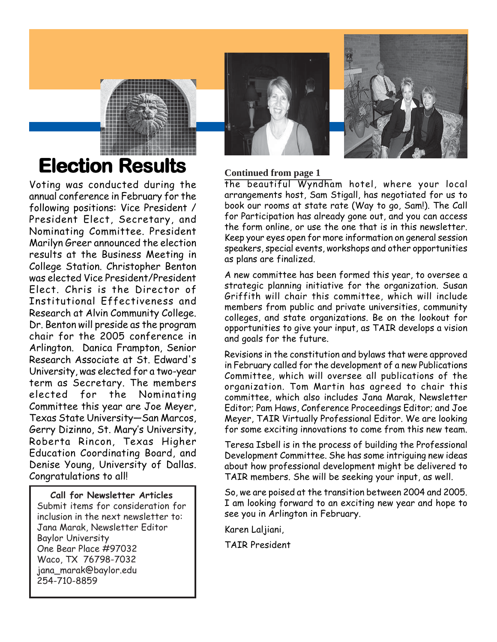# **Election Results Continued from page 1**

Voting was conducted during the annual conference in February for the following positions: Vice President / President Elect, Secretary, and Nominating Committee. President Marilyn Greer announced the election results at the Business Meeting in College Station. Christopher Benton was elected Vice President/President Elect. Chris is the Director of Institutional Effectiveness and Research at Alvin Community College. Dr. Benton will preside as the program chair for the 2005 conference in Arlington. Danica Frampton, Senior Research Associate at St. Edward's University, was elected for a two-year term as Secretary. The members elected for the Nominating Committee this year are Joe Meyer, Texas State University—San Marcos, Gerry Dizinno, St. Mary's University, Roberta Rincon, Texas Higher Education Coordinating Board, and Denise Young, University of Dallas. Congratulations to all!

**Call for Newsletter Articles** Submit items for consideration for inclusion in the next newsletter to: Jana Marak, Newsletter Editor Baylor University One Bear Place #97032 Waco, TX 76798-7032 jana\_marak@baylor.edu 254-710-8859

the beautiful Wyndham hotel, where your local arrangements host, Sam Stigall, has negotiated for us to book our rooms at state rate (Way to go, Sam!). The Call for Participation has already gone out, and you can access the form online, or use the one that is in this newsletter. Keep your eyes open for more information on general session speakers, special events, workshops and other opportunities as plans are finalized.

A new committee has been formed this year, to oversee a strategic planning initiative for the organization. Susan Griffith will chair this committee, which will include members from public and private universities, community colleges, and state organizations. Be on the lookout for opportunities to give your input, as TAIR develops a vision and goals for the future.

Revisions in the constitution and bylaws that were approved in February called for the development of a new Publications Committee, which will oversee all publications of the organization. Tom Martin has agreed to chair this committee, which also includes Jana Marak, Newsletter Editor; Pam Haws, Conference Proceedings Editor; and Joe Meyer, TAIR Virtually Professional Editor. We are looking for some exciting innovations to come from this new team.

Teresa Isbell is in the process of building the Professional Development Committee. She has some intriguing new ideas about how professional development might be delivered to TAIR members. She will be seeking your input, as well.

So, we are poised at the transition between 2004 and 2005. I am looking forward to an exciting new year and hope to see you in Arlington in February.

Karen Laljiani,

TAIR President



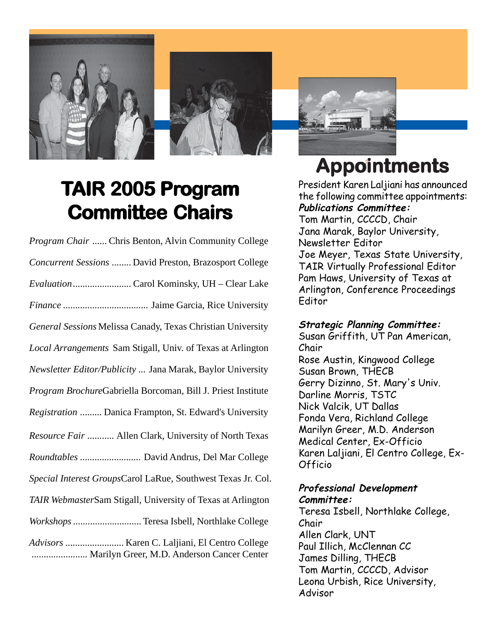



# **TAIR 2005 Program Committee Chair Committee Chairs**

| Program Chair  Chris Benton, Alvin Community College         |
|--------------------------------------------------------------|
| Concurrent Sessions  David Preston, Brazosport College       |
|                                                              |
|                                                              |
| General Sessions Melissa Canady, Texas Christian University  |
| Local Arrangements Sam Stigall, Univ. of Texas at Arlington  |
| Newsletter Editor/Publicity  Jana Marak, Baylor University   |
| Program BrochureGabriella Borcoman, Bill J. Priest Institute |
| Registration  Danica Frampton, St. Edward's University       |
| Resource Fair  Allen Clark, University of North Texas        |
| Roundtables  David Andrus, Del Mar College                   |
| Special Interest GroupsCarol LaRue, Southwest Texas Jr. Col. |
| TAIR WebmasterSam Stigall, University of Texas at Arlington  |
| Workshops  Teresa Isbell, Northlake College                  |
| Marilyn Greer, M.D. Anderson Cancer Center                   |



# 7 **Appointments Appointments**

President Karen Laljiani has announced the following committee appointments: **Publications Committee:**

Tom Martin, CCCCD, Chair Jana Marak, Baylor University, Newsletter Editor Joe Meyer, Texas State University, TAIR Virtually Professional Editor Pam Haws, University of Texas at Arlington, Conference Proceedings Editor

#### **Strategic Planning Committee:**

Susan Griffith, UT Pan American, Chair Rose Austin, Kingwood College Susan Brown, THECB Gerry Dizinno, St. Mary's Univ. Darline Morris, TSTC Nick Valcik, UT Dallas Fonda Vera, Richland College Marilyn Greer, M.D. Anderson Medical Center, Ex-Officio Karen Laljiani, El Centro College, Ex-Officio

#### **Professional Development Committee:**

Teresa Isbell, Northlake College, Chair Allen Clark, UNT Paul Illich, McClennan CC James Dilling, THECB Tom Martin, CCCCD, Advisor Leona Urbish, Rice University, Advisor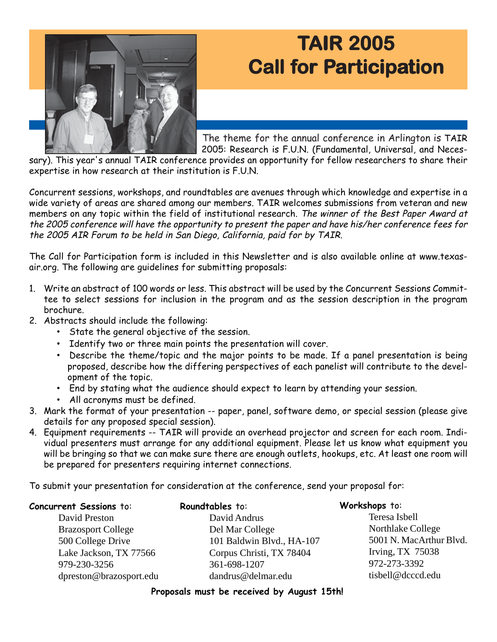# **TAIR 2005 AIR 2005 Call for Participation**



sary). This year's annual TAIR conference provides an opportunity for fellow researchers to share their expertise in how research at their institution is F.U.N.

Concurrent sessions, workshops, and roundtables are avenues through which knowledge and expertise in a wide variety of areas are shared among our members. TAIR welcomes submissions from veteran and new members on any topic within the field of institutional research. The winner of the Best Paper Award at the 2005 conference will have the opportunity to present the paper and have his/her conference fees for the 2005 AIR Forum to be held in San Diego, California, paid for by TAIR.

The Call for Participation form is included in this Newsletter and is also available online at www.texasair.org. The following are guidelines for submitting proposals:

- 1. Write an abstract of 100 words or less. This abstract will be used by the Concurrent Sessions Committee to select sessions for inclusion in the program and as the session description in the program brochure.
- 2. Abstracts should include the following:
	- State the general objective of the session.
	- Identify two or three main points the presentation will cover.
	- Describe the theme/topic and the major points to be made. If a panel presentation is being proposed, describe how the differing perspectives of each panelist will contribute to the development of the topic.
	- End by stating what the audience should expect to learn by attending your session.
	- All acronyms must be defined.
- 3. Mark the format of your presentation -- paper, panel, software demo, or special session (please give details for any proposed special session).
- 4. Equipment requirements -- TAIR will provide an overhead projector and screen for each room. Individual presenters must arrange for any additional equipment. Please let us know what equipment you will be bringing so that we can make sure there are enough outlets, hookups, etc. At least one room will be prepared for presenters requiring internet connections.

To submit your presentation for consideration at the conference, send your proposal for:

| <b>Concurrent Sessions to:</b> | Roundtables to:           | Workshops to:           |
|--------------------------------|---------------------------|-------------------------|
| David Preston                  | David Andrus              | Teresa Isbell           |
| <b>Brazosport College</b>      | Del Mar College           | Northlake College       |
| 500 College Drive              | 101 Baldwin Blvd., HA-107 | 5001 N. MacArthur Blvd. |
| Lake Jackson, TX 77566         | Corpus Christi, TX 78404  | Irving, TX $75038$      |
| 979-230-3256                   | 361-698-1207              | 972-273-3392            |
| dpreston@brazosport.edu        | dandrus@delmar.edu        | tisbell@dcccd.edu       |

**Proposals must be received by August 15th!**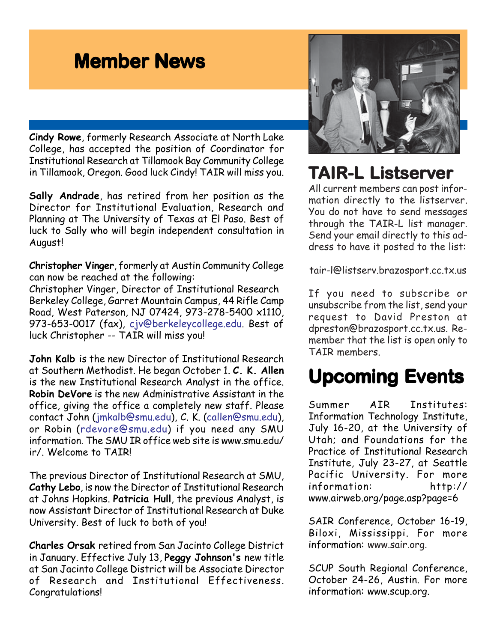# **Member News**

**Cindy Rowe**, formerly Research Associate at North Lake College, has accepted the position of Coordinator for Institutional Research at Tillamook Bay Community College in Tillamook, Oregon. Good luck Cindy! TAIR will miss you.

**Sally Andrade**, has retired from her position as the Director for Institutional Evaluation, Research and Planning at The University of Texas at El Paso. Best of luck to Sally who will begin independent consultation in August!

**Christopher Vinger**, formerly at Austin Community College can now be reached at the following:

Christopher Vinger, Director of Institutional Research Berkeley College, Garret Mountain Campus, 44 Rifle Camp Road, West Paterson, NJ 07424, 973-278-5400 x1110, 973-653-0017 (fax), cjv@berkeleycollege.edu. Best of luck Christopher -- TAIR will miss you!

**John Kalb** is the new Director of Institutional Research at Southern Methodist. He began October 1. **C. K. Allen** is the new Institutional Research Analyst in the office. **Robin DeVore** is the new Administrative Assistant in the office, giving the office a completely new staff. Please contact John (jmkalb@smu.edu), C. K. (callen@smu.edu), or Robin (rdevore@smu.edu) if you need any SMU information. The SMU IR office web site is www.smu.edu/ ir/. Welcome to TAIR!

The previous Director of Institutional Research at SMU, **Cathy Lebo**, is now the Director of Institutional Research at Johns Hopkins. **Patricia Hull**, the previous Analyst, is now Assistant Director of Institutional Research at Duke University. Best of luck to both of you!

**Charles Orsak** retired from San Jacinto College District in January. Effective July 13, **Peggy Johnson's** new title at San Jacinto College District will be Associate Director of Research and Institutional Effectiveness. Congratulations!



# **TAIR-L Listser AIR-L Listserver**

All current members can post information directly to the listserver. You do not have to send messages through the TAIR-L list manager. Send your email directly to this address to have it posted to the list:

tair-l@listserv.brazosport.cc.tx.us

If you need to subscribe or unsubscribe from the list, send your request to David Preston at dpreston@brazosport.cc.tx.us. Remember that the list is open only to TAIR members.

# **Upcoming Events**

Summer AIR Institutes: Information Technology Institute, July 16-20, at the University of Utah; and Foundations for the Practice of Institutional Research Institute, July 23-27, at Seattle Pacific University. For more information: http:// www.airweb.org/page.asp?page=6

SAIR Conference, October 16-19, Biloxi, Mississippi. For more information: www.sair.org.

SCUP South Regional Conference, October 24-26, Austin. For more information: www.scup.org.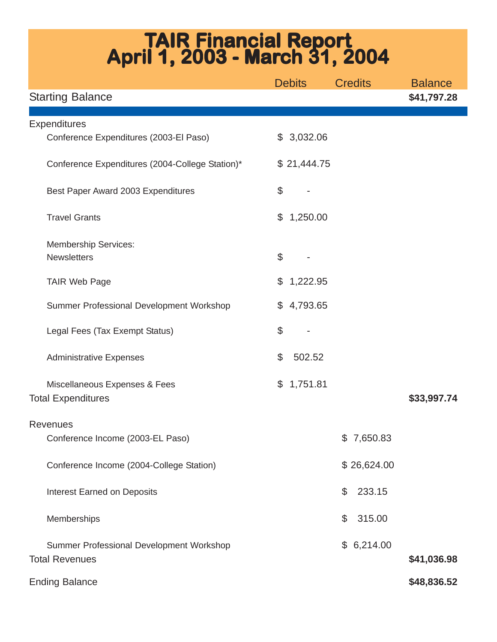# **TAIR Financial Report April 1, 2003 - March 31, 2004**

|                                                 | <b>Debits</b>                       | <b>Credits</b> | <b>Balance</b> |
|-------------------------------------------------|-------------------------------------|----------------|----------------|
| <b>Starting Balance</b>                         |                                     |                | \$41,797.28    |
|                                                 |                                     |                |                |
| <b>Expenditures</b>                             |                                     |                |                |
| Conference Expenditures (2003-El Paso)          | 3,032.06<br>$\mathbb{S}$            |                |                |
| Conference Expenditures (2004-College Station)* | \$21,444.75                         |                |                |
| Best Paper Award 2003 Expenditures              | \$                                  |                |                |
| <b>Travel Grants</b>                            | 1,250.00<br>\$                      |                |                |
| <b>Membership Services:</b>                     |                                     |                |                |
| <b>Newsletters</b>                              | $\mathcal{L}$                       |                |                |
|                                                 |                                     |                |                |
| <b>TAIR Web Page</b>                            | \$<br>1,222.95                      |                |                |
| Summer Professional Development Workshop        | 4,793.65<br>\$                      |                |                |
| Legal Fees (Tax Exempt Status)                  | $\boldsymbol{\mathsf{S}}$           |                |                |
| <b>Administrative Expenses</b>                  | $\boldsymbol{\mathsf{S}}$<br>502.52 |                |                |
| Miscellaneous Expenses & Fees                   | 1,751.81<br>$\mathfrak{F}$          |                |                |
| <b>Total Expenditures</b>                       |                                     |                | \$33,997.74    |
|                                                 |                                     |                |                |
| <b>Revenues</b>                                 |                                     |                |                |
| Conference Income (2003-EL Paso)                |                                     | \$7,650.83     |                |
| Conference Income (2004-College Station)        |                                     | \$26,624.00    |                |
| <b>Interest Earned on Deposits</b>              |                                     | 233.15<br>\$   |                |
| Memberships                                     |                                     | 315.00<br>\$   |                |
| Summer Professional Development Workshop        |                                     | \$6,214.00     |                |
| <b>Total Revenues</b>                           |                                     |                | \$41,036.98    |
|                                                 |                                     |                |                |
| <b>Ending Balance</b>                           |                                     |                | \$48,836.52    |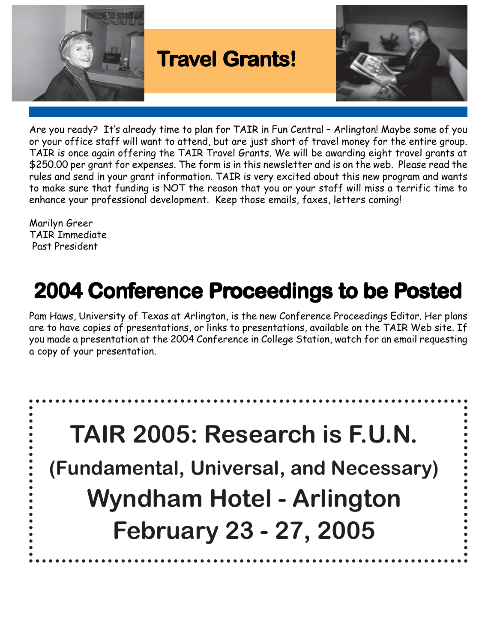

Are you ready? It's already time to plan for TAIR in Fun Central – Arlington! Maybe some of you or your office staff will want to attend, but are just short of travel money for the entire group. TAIR is once again offering the TAIR Travel Grants. We will be awarding eight travel grants at \$250.00 per grant for expenses. The form is in this newsletter and is on the web. Please read the rules and send in your grant information. TAIR is very excited about this new program and wants to make sure that funding is NOT the reason that you or your staff will miss a terrific time to enhance your professional development. Keep those emails, faxes, letters coming!

Marilyn Greer TAIR Immediate Past President

. . . . . . . . .

# **2004 Conference Proceedings to be Posted**

Pam Haws, University of Texas at Arlington, is the new Conference Proceedings Editor. Her plans are to have copies of presentations, or links to presentations, available on the TAIR Web site. If you made a presentation at the 2004 Conference in College Station, watch for an email requesting a copy of your presentation.

**TAIR 2005: Research is F.U.N. (Fundamental, Universal, and Necessary) Wyndham Hotel - Arlington February 23 - 27, 2005**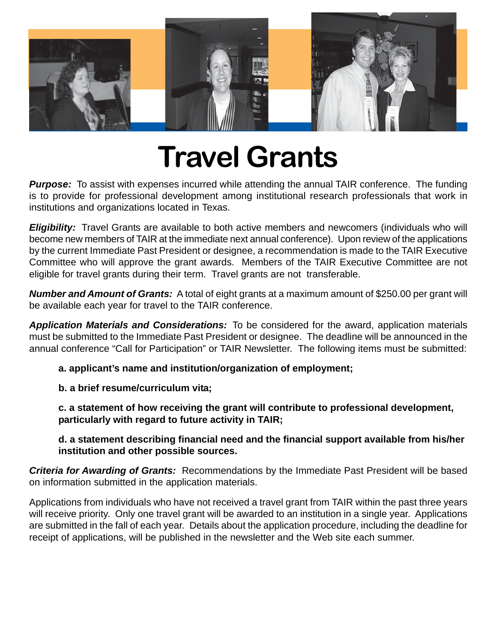

# **Travel Grants**

**Purpose:** To assist with expenses incurred while attending the annual TAIR conference. The funding is to provide for professional development among institutional research professionals that work in institutions and organizations located in Texas.

**Eligibility:** Travel Grants are available to both active members and newcomers (individuals who will become new members of TAIR at the immediate next annual conference). Upon review of the applications by the current Immediate Past President or designee, a recommendation is made to the TAIR Executive Committee who will approve the grant awards. Members of the TAIR Executive Committee are not eligible for travel grants during their term. Travel grants are not transferable.

*Number and Amount of Grants:* A total of eight grants at a maximum amount of \$250.00 per grant will be available each year for travel to the TAIR conference.

*Application Materials and Considerations:* To be considered for the award, application materials must be submitted to the Immediate Past President or designee. The deadline will be announced in the annual conference "Call for Participation" or TAIR Newsletter. The following items must be submitted:

**a. applicant's name and institution/organization of employment;**

**b. a brief resume/curriculum vita;**

**c. a statement of how receiving the grant will contribute to professional development, particularly with regard to future activity in TAIR;**

**d. a statement describing financial need and the financial support available from his/her institution and other possible sources.**

*Criteria for Awarding of Grants:* Recommendations by the Immediate Past President will be based on information submitted in the application materials.

Applications from individuals who have not received a travel grant from TAIR within the past three years will receive priority. Only one travel grant will be awarded to an institution in a single year. Applications are submitted in the fall of each year. Details about the application procedure, including the deadline for receipt of applications, will be published in the newsletter and the Web site each summer.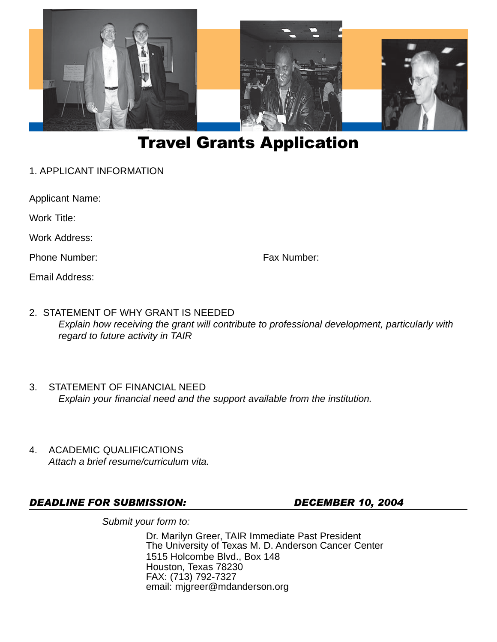

### Travel Grants Application

1. APPLICANT INFORMATION

Applicant Name:

Work Title:

Work Address:

Phone Number: Fax Number:

Email Address:

- 2. STATEMENT OF WHY GRANT IS NEEDED *Explain how receiving the grant will contribute to professional development, particularly with regard to future activity in TAIR*
- 3. STATEMENT OF FINANCIAL NEED *Explain your financial need and the support available from the institution.*
- 4. ACADEMIC QUALIFICATIONS *Attach a brief resume/curriculum vita.*

#### *DEADLINE FOR SUBMISSION: DECEMBER 10, 2004*

*Submit your form to:*

Dr. Marilyn Greer, TAIR Immediate Past President The University of Texas M. D. Anderson Cancer Center 1515 Holcombe Blvd., Box 148 Houston, Texas 78230 FAX: (713) 792-7327 email: mjgreer@mdanderson.org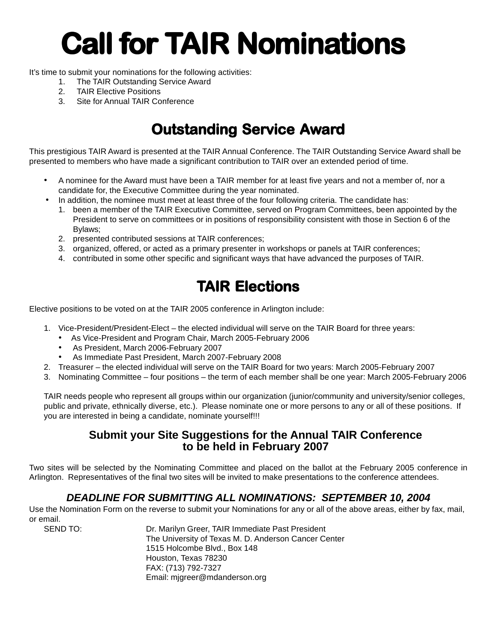# **Call for TAIR Nominations**

It's time to submit your nominations for the following activities:

- 1. The TAIR Outstanding Service Award
- 2. TAIR Elective Positions
- 3. Site for Annual TAIR Conference

## **Outstanding Service Award**

This prestigious TAIR Award is presented at the TAIR Annual Conference. The TAIR Outstanding Service Award shall be presented to members who have made a significant contribution to TAIR over an extended period of time.

- A nominee for the Award must have been a TAIR member for at least five years and not a member of, nor a candidate for, the Executive Committee during the year nominated.
- In addition, the nominee must meet at least three of the four following criteria. The candidate has:
	- 1. been a member of the TAIR Executive Committee, served on Program Committees, been appointed by the President to serve on committees or in positions of responsibility consistent with those in Section 6 of the Bylaws;
	- 2. presented contributed sessions at TAIR conferences;
	- 3. organized, offered, or acted as a primary presenter in workshops or panels at TAIR conferences;
	- 4. contributed in some other specific and significant ways that have advanced the purposes of TAIR.

### **TAIR Elections AIR Elections**

Elective positions to be voted on at the TAIR 2005 conference in Arlington include:

- 1. Vice-President/President-Elect the elected individual will serve on the TAIR Board for three years:
	- As Vice-President and Program Chair, March 2005-February 2006
	- As President, March 2006-February 2007
	- As Immediate Past President, March 2007-February 2008
- 2. Treasurer the elected individual will serve on the TAIR Board for two years: March 2005-February 2007
- 3. Nominating Committee four positions the term of each member shall be one year: March 2005-February 2006

TAIR needs people who represent all groups within our organization (junior/community and university/senior colleges, public and private, ethnically diverse, etc.). Please nominate one or more persons to any or all of these positions. If you are interested in being a candidate, nominate yourself!!!

#### **Submit your Site Suggestions for the Annual TAIR Conference to be held in February 2007**

Two sites will be selected by the Nominating Committee and placed on the ballot at the February 2005 conference in Arlington. Representatives of the final two sites will be invited to make presentations to the conference attendees.

#### *DEADLINE FOR SUBMITTING ALL NOMINATIONS: SEPTEMBER 10, 2004*

Use the Nomination Form on the reverse to submit your Nominations for any or all of the above areas, either by fax, mail, or email.

SEND TO: Dr. Marilyn Greer, TAIR Immediate Past President The University of Texas M. D. Anderson Cancer Center 1515 Holcombe Blvd., Box 148 Houston, Texas 78230 FAX: (713) 792-7327 Email: mjgreer@mdanderson.org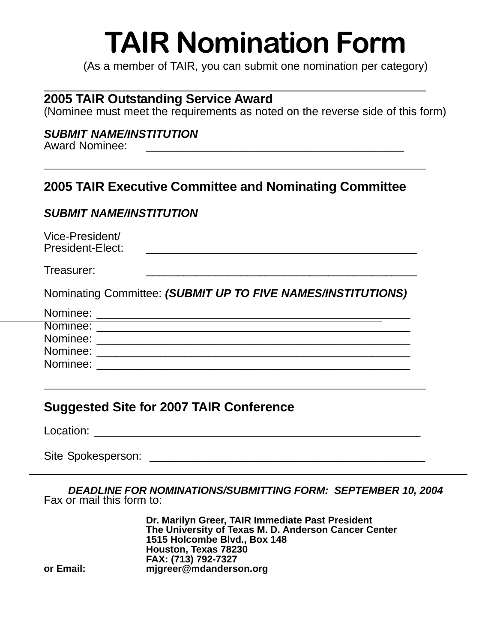# **TAIR Nomination Form**

(As a member of TAIR, you can submit one nomination per category)

#### **2005 TAIR Outstanding Service Award**

(Nominee must meet the requirements as noted on the reverse side of this form)

#### *SUBMIT NAME/INSTITUTION*

| <b>Award Nominee:</b> |  |
|-----------------------|--|
|                       |  |

#### **2005 TAIR Executive Committee and Nominating Committee**

#### *SUBMIT NAME/INSTITUTION*

Vice-President/

Treasurer: \_\_\_\_\_\_\_\_\_\_\_\_\_\_\_\_\_\_\_\_\_\_\_\_\_\_\_\_\_\_\_\_\_\_\_\_\_\_\_\_\_\_\_

Nominating Committee: *(SUBMIT UP TO FIVE NAMES/INSTITUTIONS)*

| Nominee: |  |
|----------|--|
| Nominee: |  |
| Nominee: |  |
| Nominee: |  |
| Nominee: |  |

#### **Suggested Site for 2007 TAIR Conference**

Location: \_\_\_\_\_\_\_\_\_\_\_\_\_\_\_\_\_\_\_\_\_\_\_\_\_\_\_\_\_\_\_\_\_\_\_\_\_\_\_\_\_\_\_\_\_\_\_\_\_\_\_\_

Site Spokesperson: **Example 2018** 

*DEADLINE FOR NOMINATIONS/SUBMITTING FORM: SEPTEMBER 10, 2004* Fax or mail this form to:

**Dr. Marilyn Greer, TAIR Immediate Past President The University of Texas M. D. Anderson Cancer Center 1515 Holcombe Blvd., Box 148 Houston, Texas 78230 FAX: (713) 792-7327 or Email: mjgreer@mdanderson.org**